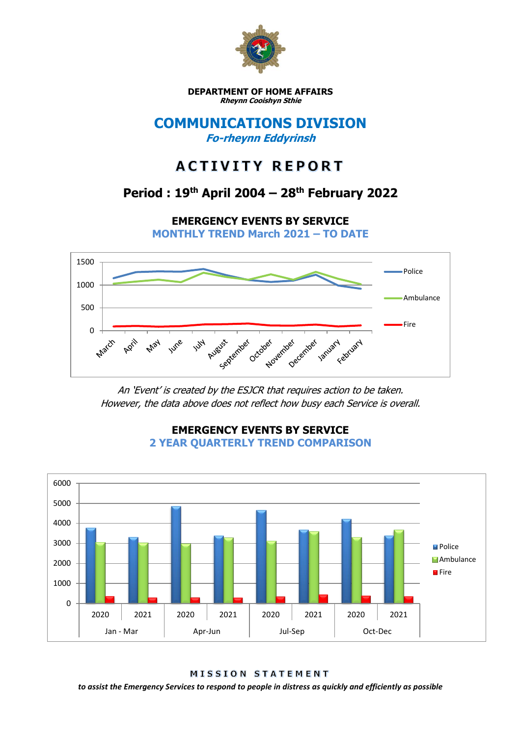

**DEPARTMENT OF HOME AFFAIRS Rheynn Cooishyn Sthie**

### **COMMUNICATIONS DIVISION Fo-rheynn Eddyrinsh**

# **ACTIVITY REPORT**

## **Period : 19th April 2004 – 28th February 2022**

**EMERGENCY EVENTS BY SERVICE**

**MONTHLY TREND March 2021 – TO DATE**



An 'Event' is created by the ESJCR that requires action to be taken. However, the data above does not reflect how busy each Service is overall.



**EMERGENCY EVENTS BY SERVICE 2 YEAR QUARTERLY TREND COMPARISON**

MISSION STATEMENT

*to assist the Emergency Services to respond to people in distress as quickly and efficiently as possible*